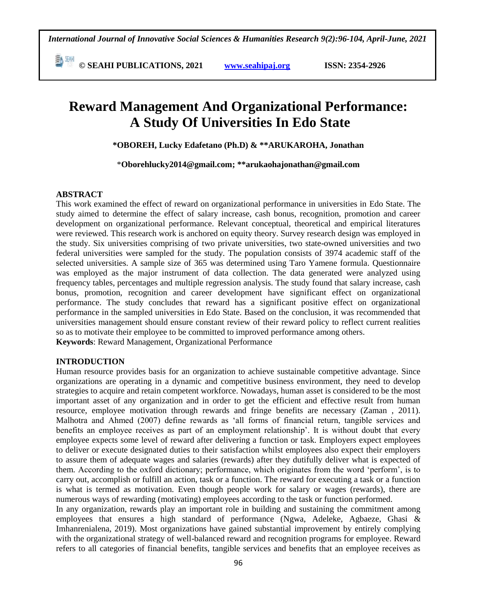**© SEAHI PUBLICATIONS, 2021 [www.seahipaj.org](http://www.seahipaj.org/) ISSN: 2354-2926** 

# **Reward Management And Organizational Performance: A Study Of Universities In Edo State**

**\*OBOREH, Lucky Edafetano (Ph.D) & \*\*ARUKAROHA, Jonathan**

\***[Oborehlucky2014@gmail.com;](mailto:Oborehlucky2014@gmail.com) \*[\\*arukaohajonathan@gmail.com](mailto:arukaohajonathan@gmail.com)**

#### **ABSTRACT**

This work examined the effect of reward on organizational performance in universities in Edo State. The study aimed to determine the effect of salary increase, cash bonus, recognition, promotion and career development on organizational performance. Relevant conceptual, theoretical and empirical literatures were reviewed. This research work is anchored on equity theory. Survey research design was employed in the study. Six universities comprising of two private universities, two state-owned universities and two federal universities were sampled for the study. The population consists of 3974 academic staff of the selected universities. A sample size of 365 was determined using Taro Yamene formula. Questionnaire was employed as the major instrument of data collection. The data generated were analyzed using frequency tables, percentages and multiple regression analysis. The study found that salary increase, cash bonus, promotion, recognition and career development have significant effect on organizational performance. The study concludes that reward has a significant positive effect on organizational performance in the sampled universities in Edo State. Based on the conclusion, it was recommended that universities management should ensure constant review of their reward policy to reflect current realities so as to motivate their employee to be committed to improved performance among others. **Keywords**: Reward Management, Organizational Performance

#### **INTRODUCTION**

Human resource provides basis for an organization to achieve sustainable competitive advantage. Since organizations are operating in a dynamic and competitive business environment, they need to develop strategies to acquire and retain competent workforce. Nowadays, human asset is considered to be the most important asset of any organization and in order to get the efficient and effective result from human resource, employee motivation through rewards and fringe benefits are necessary (Zaman , 2011). Malhotra and Ahmed (2007) define rewards as "all forms of financial return, tangible services and benefits an employee receives as part of an employment relationship". It is without doubt that every employee expects some level of reward after delivering a function or task. Employers expect employees to deliver or execute designated duties to their satisfaction whilst employees also expect their employers to assure them of adequate wages and salaries (rewards) after they dutifully deliver what is expected of them. According to the oxford dictionary; performance, which originates from the word "perform", is to carry out, accomplish or fulfill an action, task or a function. The reward for executing a task or a function is what is termed as motivation. Even though people work for salary or wages (rewards), there are numerous ways of rewarding (motivating) employees according to the task or function performed.

In any organization, rewards play an important role in building and sustaining the commitment among employees that ensures a high standard of performance (Ngwa, Adeleke, Agbaeze, Ghasi & Imhanrenialena, 2019). Most organizations have gained substantial improvement by entirely complying with the organizational strategy of well-balanced reward and recognition programs for employee. Reward refers to all categories of financial benefits, tangible services and benefits that an employee receives as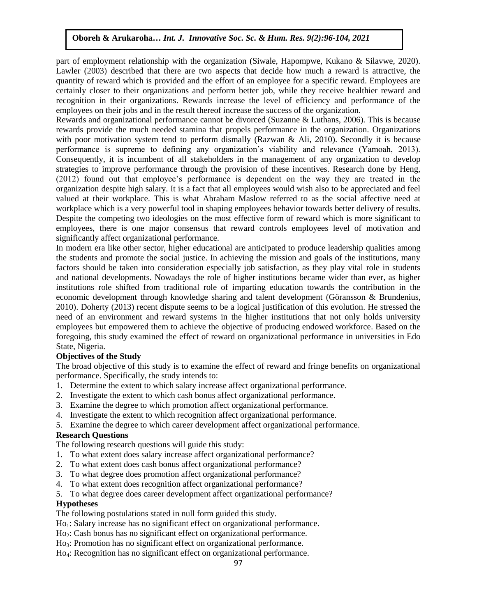part of employment relationship with the organization (Siwale, Hapompwe, Kukano & Silavwe, 2020). Lawler  $(2003)$  described that there are two aspects that decide how much a reward is attractive, the quantity of reward which is provided and the effort of an employee for a specific reward. Employees are certainly closer to their organizations and perform better job, while they receive healthier reward and recognition in their organizations. Rewards increase the level of efficiency and performance of the employees on their jobs and in the result thereof increase the success of the organization.

Rewards and organizational performance cannot be divorced (Suzanne & Luthans, 2006). This is because rewards provide the much needed stamina that propels performance in the organization. Organizations with poor motivation system tend to perform dismally (Razwan & Ali, 2010). Secondly it is because performance is supreme to defining any organization's viability and relevance (Yamoah, 2013). Consequently, it is incumbent of all stakeholders in the management of any organization to develop strategies to improve performance through the provision of these incentives. Research done by Heng, (2012) found out that employee"s performance is dependent on the way they are treated in the organization despite high salary. It is a fact that all employees would wish also to be appreciated and feel valued at their workplace. This is what Abraham Maslow referred to as the social affective need at workplace which is a very powerful tool in shaping employees behavior towards better delivery of results. Despite the competing two ideologies on the most effective form of reward which is more significant to employees, there is one major consensus that reward controls employees level of motivation and significantly affect organizational performance.

In modern era like other sector, higher educational are anticipated to produce leadership qualities among the students and promote the social justice. In achieving the mission and goals of the institutions, many factors should be taken into consideration especially job satisfaction, as they play vital role in students and national developments. Nowadays the role of higher institutions became wider than ever, as higher institutions role shifted from traditional role of imparting education towards the contribution in the economic development through knowledge sharing and talent development (Göransson & Brundenius, 2010). Doherty (2013) recent dispute seems to be a logical justification of this evolution. He stressed the need of an environment and reward systems in the higher institutions that not only holds university employees but empowered them to achieve the objective of producing endowed workforce. Based on the foregoing, this study examined the effect of reward on organizational performance in universities in Edo State, Nigeria.

## **Objectives of the Study**

The broad objective of this study is to examine the effect of reward and fringe benefits on organizational performance. Specifically, the study intends to:

- 1. Determine the extent to which salary increase affect organizational performance.
- 2. Investigate the extent to which cash bonus affect organizational performance.
- 3. Examine the degree to which promotion affect organizational performance.
- 4. Investigate the extent to which recognition affect organizational performance.
- 5. Examine the degree to which career development affect organizational performance.

#### **Research Questions**

The following research questions will guide this study:

- 1. To what extent does salary increase affect organizational performance?
- 2. To what extent does cash bonus affect organizational performance?
- 3. To what degree does promotion affect organizational performance?
- 4. To what extent does recognition affect organizational performance?
- 5. To what degree does career development affect organizational performance?

#### **Hypotheses**

The following postulations stated in null form guided this study.

- Ho<sub>1</sub>: Salary increase has no significant effect on organizational performance.
- Ho<sub>2</sub>: Cash bonus has no significant effect on organizational performance.
- Ho<sub>3</sub>: Promotion has no significant effect on organizational performance.

Ho4: Recognition has no significant effect on organizational performance.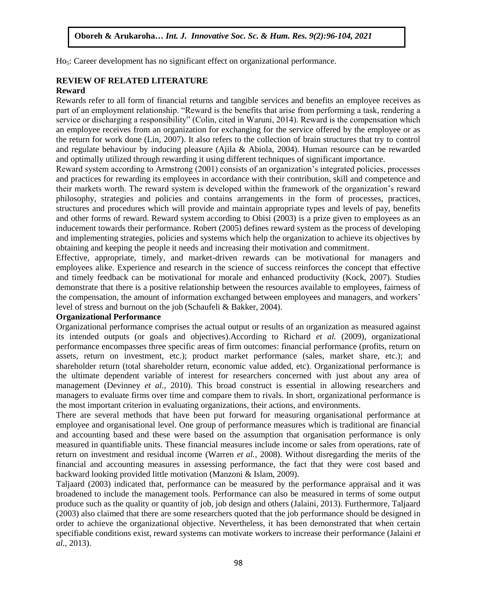Ho<sub>5</sub>: Career development has no significant effect on organizational performance.

#### **REVIEW OF RELATED LITERATURE**

#### **Reward**

Rewards refer to all form of financial returns and tangible services and benefits an employee receives as part of an employment relationship. "Reward is the benefits that arise from performing a task, rendering a part service or discharging a responsibility" (Colin, cited in Waruni, 2014). Reward is the compensation which an employee receives from an organization for exchanging for the service offered by the employee or as the return for work done (Lin, 2007). It also refers to the collection of brain structures that try to control and regulate behaviour by inducing pleasure (Ajila & Abiola, 2004). Human resource can be rewarded and regulate behaviour by inducing pleasure (Ajila & Abiola, 2004). Human resource can be rewarded and optimally utilized through rewarding it using different techniques of significant importance.

Reward system according to Armstrong (2001) consists of an organization"s integrated policies, processes and practices for rewarding its employees in accordance with their contribution, skill and competence and their markets worth. The reward system is developed within the framework of the organization's reward their markets worth. philosophy, strategies and policies and contains arrangements in the form of processes, practices, structures and procedures which will provide and maintain appropriate types and levels of pay, benefits and other forms of reward. Reward system according to Obisi (2003) is a prize given to employees as an inducement towards their performance. Robert (2005) defines reward system as the process of developing inducement towards their performance. Robert (2005) defines reward system as the process of developing and implementing strategies, policies and systems which help the organization to achieve its objectives by obtaining and keeping the people it needs and increasing their motivation and commitment.

Effective, appropriate, timely, and market-driven rewards can be motivational for managers and employees alike. Experience and research in the science of success reinforces the concept that effective employees and timely feedback can be motivational for morale and enhanced productivity (Kock, 2007). Studies demonstrate that there is a positive relationship between the resources available to employees, fairness of the compensation, the amount of information exchanged between employees and managers, and workers" net componented, the material of internation interaliger convert employees in<br>level of stress and burnout on the job (Schaufeli & Bakker, 2004).

## **Organizational Performance**

Organizational performance comprises the actual output or results of an organization as measured against its intended outputs (or goals and objectives).According to Richard *et al.* (2009), organizational performance encompasses three specific areas of firm outcomes: financial performance (profits, return on assets, return on investment, etc.); product market performance (sales, market share, etc.); and shareholder return (total shareholder return, economic value added, etc). Organizational performance is the ultimate dependent variable of interest for researchers concerned with just about any area of management (Devinney *et al.,* 2010). This broad construct is essential in allowing researchers and managers to evaluate firms over time and compare them to rivals. In short, organizational performance is the most important criterion in evaluating organizations, their actions, and environments.

There are several methods that have been put forward for measuring organisational performance at employee and organisational level. One group of performance measures which is traditional are financial and accounting based and these were based on the assumption that organisation performance is only measured in quantifiable units. These financial measures include income or sales from operations, rate of return on investment and residual income (Warren *et al.,* 2008). Without disregarding the merits of the financial and accounting measures in assessing performance, the fact that they were cost based and backward looking provided little motivation (Manzoni & Islam, 2009).

Taljaard (2003) indicated that, performance can be measured by the performance appraisal and it was broadened to include the management tools. Performance can also be measured in terms of some output produce such as the quality or quantity of job, job design and others (Jalaini, 2013). Furthermore, Taljaard (2003) also claimed that there are some researchers quoted that the job performance should be designed in order to achieve the organizational objective. Nevertheless, it has been demonstrated that when certain specifiable conditions exist, reward systems can motivate workers to increase their performance (Jalaini *et al.,* 2013).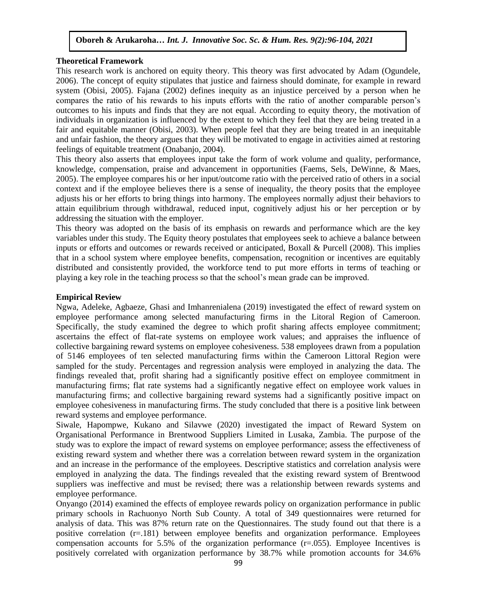#### **Theoretical Framework**

This research work is anchored on equity theory. This theory was first advocated by Adam (Ogundele, 2006). The concept of equity stipulates that justice and fairness should dominate, for example in reward system (Obisi, 2005). Fajana (2002) defines inequity as an injustice perceived by a person when he compares the ratio of his rewards to his inputs efforts with the ratio of another comparable person"s outcomes to his inputs and finds that they are not equal. According to equity theory, the motivation of individuals in organization is influenced by the extent to which they feel that they are being treated in a fair and equitable manner (Obisi, 2003). When people feel that they are being treated in an inequitable and unfair fashion, the theory argues that they will be motivated to engage in activities aimed at restoring feelings of equitable treatment (Onabanjo, 2004).

This theory also asserts that employees input take the form of work volume and quality, performance, knowledge, compensation, praise and advancement in opportunities (Faems, Sels, DeWinne, & Maes, 2005). The employee compares his or her input/outcome ratio with the perceived ratio of others in a social context and if the employee believes there is a sense of inequality, the theory posits that the employee adjusts his or her efforts to bring things into harmony. The employees normally adjust their behaviors to attain equilibrium through withdrawal, reduced input, cognitively adjust his or her perception or by addressing the situation with the employer.

This theory was adopted on the basis of its emphasis on rewards and performance which are the key variables under this study. The Equity theory postulates that employees seek to achieve a balance between inputs or efforts and outcomes or rewards received or anticipated, Boxall & Purcell (2008). This implies that in a school system where employee benefits, compensation, recognition or incentives are equitably distributed and consistently provided, the workforce tend to put more efforts in terms of teaching or playing a key role in the teaching process so that the school"s mean grade can be improved.

#### **Empirical Review**

Ngwa, Adeleke, Agbaeze, Ghasi and Imhanrenialena (2019) investigated the effect of reward system on employee performance among selected manufacturing firms in the Litoral Region of Cameroon. Specifically, the study examined the degree to which profit sharing affects employee commitment; ascertains the effect of flat-rate systems on employee work values; and appraises the influence of collective bargaining reward systems on employee cohesiveness. 538 employees drawn from a population of 5146 employees of ten selected manufacturing firms within the Cameroon Littoral Region were sampled for the study. Percentages and regression analysis were employed in analyzing the data. The findings revealed that, profit sharing had a significantly positive effect on employee commitment in manufacturing firms; flat rate systems had a significantly negative effect on employee work values in manufacturing firms; and collective bargaining reward systems had a significantly positive impact on employee cohesiveness in manufacturing firms. The study concluded that there is a positive link between reward systems and employee performance.

Siwale, Hapompwe, Kukano and Silavwe (2020) investigated the impact of Reward System on Organisational Performance in Brentwood Suppliers Limited in Lusaka, Zambia. The purpose of the study was to explore the impact of reward systems on employee performance; assess the effectiveness of existing reward system and whether there was a correlation between reward system in the organization and an increase in the performance of the employees. Descriptive statistics and correlation analysis were employed in analyzing the data. The findings revealed that the existing reward system of Brentwood suppliers was ineffective and must be revised; there was a relationship between rewards systems and employee performance.

Onyango (2014) examined the effects of employee rewards policy on organization performance in public primary schools in Rachuonyo North Sub County. A total of 349 questionnaires were returned for analysis of data. This was 87% return rate on the Questionnaires. The study found out that there is a positive correlation (r=.181) between employee benefits and organization performance. Employees compensation accounts for 5.5% of the organization performance (r=.055). Employee Incentives is positively correlated with organization performance by 38.7% while promotion accounts for 34.6%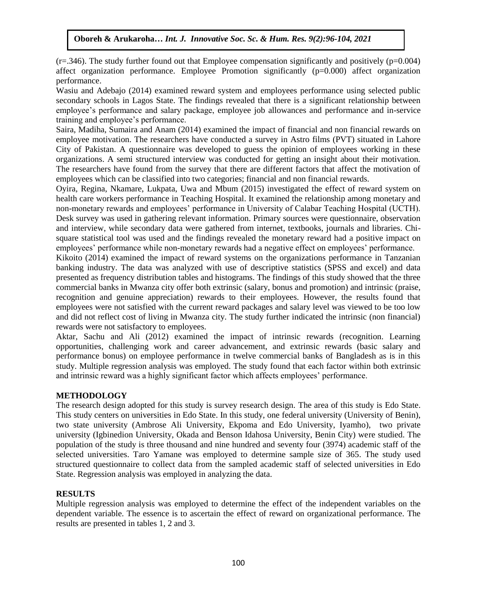$(r=346)$ . The study further found out that Employee compensation significantly and positively ( $p=0.004$ ) affect organization performance. Employee Promotion significantly (p=0.000) affect organization performance.

Wasiu and Adebajo (2014) examined reward system and employees performance using selected public secondary schools in Lagos State. The findings revealed that there is a significant relationship between employee's performance and salary package, employee job allowances and performance and in-service training and employee"s performance.

Saira, Madiha, Sumaira and Anam (2014) examined the impact of financial and non financial rewards on employee motivation. The researchers have conducted a survey in Astro films (PVT) situated in Lahore City of Pakistan. A questionnaire was developed to guess the opinion of employees working in these organizations. A semi structured interview was conducted for getting an insight about their motivation. The researchers have found from the survey that there are different factors that affect the motivation of employees which can be classified into two categories; financial and non financial rewards.

Oyira, Regina, Nkamare, Lukpata, Uwa and Mbum (2015) investigated the effect of reward system on health care workers performance in Teaching Hospital. It examined the relationship among monetary and non-monetary rewards and employees" performance in University of Calabar Teaching Hospital (UCTH). Desk survey was used in gathering relevant information. Primary sources were questionnaire, observation and interview, while secondary data were gathered from internet, textbooks, journals and libraries. Chisquare statistical tool was used and the findings revealed the monetary reward had a positive impact on employees" performance while non-monetary rewards had a negative effect on employees" performance.

Kikoito (2014) examined the impact of reward systems on the organizations performance in Tanzanian banking industry. The data was analyzed with use of descriptive statistics (SPSS and excel) and data presented as frequency distribution tables and histograms. The findings of this study showed that the three commercial banks in Mwanza city offer both extrinsic (salary, bonus and promotion) and intrinsic (praise, recognition and genuine appreciation) rewards to their employees. However, the results found that employees were not satisfied with the current reward packages and salary level was viewed to be too low and did not reflect cost of living in Mwanza city. The study further indicated the intrinsic (non financial) rewards were not satisfactory to employees.

Aktar, Sachu and Ali (2012) examined the impact of intrinsic rewards (recognition. Learning opportunities, challenging work and career advancement, and extrinsic rewards (basic salary and performance bonus) on employee performance in twelve commercial banks of Bangladesh as is in this study. Multiple regression analysis was employed. The study found that each factor within both extrinsic and intrinsic reward was a highly significant factor which affects employees" performance.

#### **METHODOLOGY**

The research design adopted for this study is survey research design. The area of this study is Edo State. This study centers on universities in Edo State. In this study, one federal university (University of Benin), two state university (Ambrose Ali University, Ekpoma and Edo University, Iyamho), two private university (Igbinedion University, Okada and Benson Idahosa University, Benin City) were studied. The population of the study is three thousand and nine hundred and seventy four (3974) academic staff of the selected universities. Taro Yamane was employed to determine sample size of 365. The study used structured questionnaire to collect data from the sampled academic staff of selected universities in Edo State. Regression analysis was employed in analyzing the data.

#### **RESULTS**

Multiple regression analysis was employed to determine the effect of the independent variables on the dependent variable. The essence is to ascertain the effect of reward on organizational performance. The results are presented in tables 1, 2 and 3.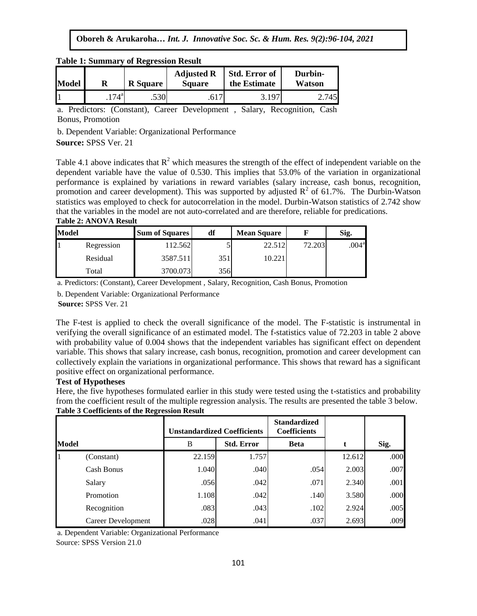|              |                 | Table 1. Summary of Regression Result |                                    |                                      |                   |  |  |
|--------------|-----------------|---------------------------------------|------------------------------------|--------------------------------------|-------------------|--|--|
| <b>Model</b> | <b>R</b> Square |                                       | <b>Adjusted R</b><br><b>Square</b> | <b>Std. Error of</b><br>the Estimate | Durbin-<br>Watson |  |  |
|              | $.174^{a}$      | .530                                  |                                    | 3.197                                | 745               |  |  |

**Table 1: Summary of Regression Result** 

a. Predictors: (Constant), Career Development, Salary, Recognition, Cash Bonus, Promotion

b. Dependent Variable: Organizational Performance

**Source:** SPSS Ver. 21  $\mathcal{X}_1$  ,  $\mathcal{Y}_2$  ,  $\mathcal{Y}_3$  ,  $\mathcal{Y}_4$  ,  $\mathcal{Y}_5$ 

Table 4.1 above indicates that  $R^2$  which measures the strength of the effect of independent variable on the dependent variable have the value of 0.530. This implies that 53.0% of the variation in organizational performance is explained by variations in reward variables (salary increase, cash bonus, recognition, promotion and career development). This was supported by adjusted  $R^2$  of 61.7%. The Durbin-Watson promotion and career development). This was supported by adjusted  $R^2$  of 61.7%. The Durbin-Watson statistics was employed to check for autocorrelation in the model. Durbin-Watson statistics of 2.742 show that the variables in the model are not auto-correlated and are therefore, reliable for predications. **Table 2: ANOVA Result**

| <b>Model</b> |            | <b>Sum of Squares</b> | df  | <b>Mean Square</b> |        | Sig.              |  |
|--------------|------------|-----------------------|-----|--------------------|--------|-------------------|--|
|              | Regression | 112.562               |     | 22.512             | 72.203 | .004 <sup>a</sup> |  |
|              | Residual   | 3587.511              | 351 | 10.221             |        |                   |  |
|              | Total      | 3700.073              | 356 |                    |        |                   |  |

a. Predictors: (Constant), Career Development , Salary, Recognition, Cash Bonus, Promotion

b. Dependent Variable: Organizational Performance

**Source:** SPSS Ver. 21

The F-test is applied to check the overall significance of the model. The F-statistic is instrumental in verifying the overall significance of an estimated model. The f-statistics value of 72.203 in table 2 above with probability value of 0.004 shows that the independent variables has significant effect on dependent variable. This shows that salary increase, cash bonus, recognition, promotion and career development can collectively explain the variations in organizational performance. This shows that reward has a significant positive effect on organizational performance.

## **Test of Hypotheses**

Here, the five hypotheses formulated earlier in this study were tested using the t-statistics and probability from the coefficient result of the multiple regression analysis. The results are presented the table 3 below. **Table 3 Coefficients of the Regression Result**

|       |                           |        | <b>Unstandardized Coefficients</b> | <b>Standardized</b><br><b>Coefficients</b> |        |      |
|-------|---------------------------|--------|------------------------------------|--------------------------------------------|--------|------|
| Model |                           | B      | <b>Std. Error</b>                  | <b>Beta</b>                                | t      | Sig. |
|       | (Constant)                | 22.159 | 1.757                              |                                            | 12.612 | .000 |
|       | Cash Bonus                | 1.040  | .040                               | .054                                       | 2.003  | .007 |
|       | Salary                    | .056   | .042                               | .071                                       | 2.340  | .001 |
|       | Promotion                 | 1.108  | .042                               | .140                                       | 3.580  | .000 |
|       | Recognition               | .083   | .043                               | .102                                       | 2.924  | .005 |
|       | <b>Career Development</b> | .028   | .041                               | .037                                       | 2.693  | .009 |

a. Dependent Variable: Organizational Performance Source: SPSS Version 21.0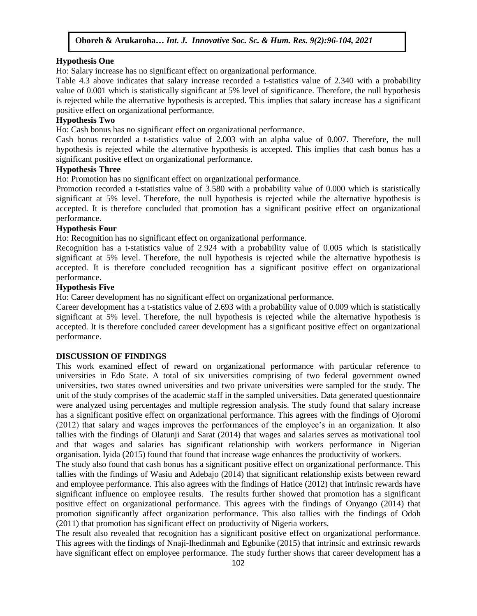#### **Hypothesis One**

Ho: Salary increase has no significant effect on organizational performance.

Table 4.3 above indicates that salary increase recorded a t-statistics value of 2.340 with a probability value of 0.001 which is statistically significant at 5% level of significance. Therefore, the null hypothesis is rejected while the alternative hypothesis is accepted. This implies that salary increase has a significant positive effect on organizational performance.

## **Hypothesis Two**

Ho: Cash bonus has no significant effect on organizational performance.

Cash bonus recorded a t-statistics value of 2.003 with an alpha value of 0.007. Therefore, the null hypothesis is rejected while the alternative hypothesis is accepted. This implies that cash bonus has a significant positive effect on organizational performance.

## **Hypothesis Three**

Ho: Promotion has no significant effect on organizational performance.

Promotion recorded a t-statistics value of 3.580 with a probability value of 0.000 which is statistically significant at 5% level. Therefore, the null hypothesis is rejected while the alternative hypothesis is accepted. It is therefore concluded that promotion has a significant positive effect on organizational performance.

## **Hypothesis Four**

Ho: Recognition has no significant effect on organizational performance.

Recognition has a t-statistics value of 2.924 with a probability value of 0.005 which is statistically significant at 5% level. Therefore, the null hypothesis is rejected while the alternative hypothesis is accepted. It is therefore concluded recognition has a significant positive effect on organizational performance.

# **Hypothesis Five**

Ho: Career development has no significant effect on organizational performance.

Career development has a t-statistics value of 2.693 with a probability value of 0.009 which is statistically significant at 5% level. Therefore, the null hypothesis is rejected while the alternative hypothesis is accepted. It is therefore concluded career development has a significant positive effect on organizational performance.

## **DISCUSSION OF FINDINGS**

This work examined effect of reward on organizational performance with particular reference to universities in Edo State. A total of six universities comprising of two federal government owned universities, two states owned universities and two private universities were sampled for the study. The unit of the study comprises of the academic staff in the sampled universities. Data generated questionnaire were analyzed using percentages and multiple regression analysis. The study found that salary increase has a significant positive effect on organizational performance. This agrees with the findings of Ojoromi (2012) that salary and wages improves the performances of the employee"s in an organization. It also tallies with the findings of Olatunji and Sarat (2014) that wages and salaries serves as motivational tool and that wages and salaries has significant relationship with workers performance in Nigerian organisation. Iyida (2015) found that found that increase wage enhances the productivity of workers.

The study also found that cash bonus has a significant positive effect on organizational performance. This tallies with the findings of Wasiu and Adebajo (2014) that significant relationship exists between reward and employee performance. This also agrees with the findings of Hatice (2012) that intrinsic rewards have significant influence on employee results. The results further showed that promotion has a significant positive effect on organizational performance. This agrees with the findings of Onyango (2014) that promotion significantly affect organization performance. This also tallies with the findings of Odoh (2011) that promotion has significant effect on productivity of Nigeria workers.

The result also revealed that recognition has a significant positive effect on organizational performance. This agrees with the findings of Nnaji-Ihedinmah and Egbunike (2015) that intrinsic and extrinsic rewards have significant effect on employee performance. The study further shows that career development has a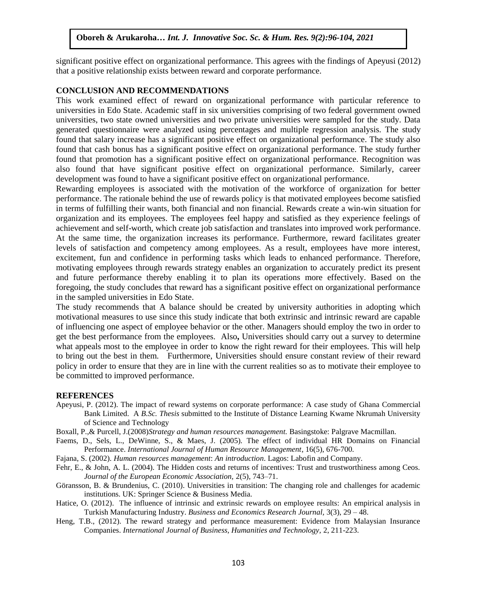significant positive effect on organizational performance. This agrees with the findings of Apeyusi (2012) that a positive relationship exists between reward and corporate performance.

#### **CONCLUSION AND RECOMMENDATIONS**

This work examined effect of reward on organizational performance with particular reference to universities in Edo State. Academic staff in six universities comprising of two federal government owned universities, two state owned universities and two private universities were sampled for the study. Data generated questionnaire were analyzed using percentages and multiple regression analysis. The study found that salary increase has a significant positive effect on organizational performance. The study also found that cash bonus has a significant positive effect on organizational performance. The study further found that promotion has a significant positive effect on organizational performance. Recognition was also found that have significant positive effect on organizational performance. Similarly, career development was found to have a significant positive effect on organizational performance.

Rewarding employees is associated with the motivation of the workforce of organization for better performance. The rationale behind the use of rewards policy is that motivated employees become satisfied in terms of fulfilling their wants, both financial and non financial. Rewards create a win-win situation for organization and its employees. The employees feel happy and satisfied as they experience feelings of achievement and self-worth, which create job satisfaction and translates into improved work performance. At the same time, the organization increases its performance. Furthermore, reward facilitates greater levels of satisfaction and competency among employees. As a result, employees have more interest, excitement, fun and confidence in performing tasks which leads to enhanced performance. Therefore, motivating employees through rewards strategy enables an organization to accurately predict its present and future performance thereby enabling it to plan its operations more effectively. Based on the foregoing, the study concludes that reward has a significant positive effect on organizational performance in the sampled universities in Edo State.

The study recommends that A balance should be created by university authorities in adopting which motivational measures to use since this study indicate that both extrinsic and intrinsic reward are capable of influencing one aspect of employee behavior or the other. Managers should employ the two in order to get the best performance from the employees. Also**,** Universities should carry out a survey to determine what appeals most to the employee in order to know the right reward for their employees. This will help to bring out the best in them. Furthermore, Universities should ensure constant review of their reward policy in order to ensure that they are in line with the current realities so as to motivate their employee to be committed to improved performance.

#### **REFERENCES**

- Apeyusi, P. (2012). The impact of reward systems on corporate performance: A case study of Ghana Commercial Bank Limited. A *B.Sc. Thesis* submitted to the Institute of Distance Learning Kwame Nkrumah University of Science and Technology
- Boxall, P.,& Purcell, J.(2008)*Strategy and human resources management.* Basingstoke: Palgrave Macmillan.
- Faems, D., Sels, L., DeWinne, S., & Maes, J. (2005). The effect of individual HR Domains on Financial Performance. *International Journal of Human Resource Management*, 16(5), 676-700.
- Fajana, S. (2002). *Human resources management*: *An introduction*. Lagos: Labofin and Company.
- Fehr, E., & John, A. L. (2004). The Hidden costs and returns of incentives: Trust and trustworthiness among Ceos. *Journal of the European Economic Association,* 2(5), 743–71.
- Göransson, B. & Brundenius, C. (2010). Universities in transition: The changing role and challenges for academic institutions. UK: Springer Science & Business Media.
- Hatice, O. (2012). The influence of intrinsic and extrinsic rewards on employee results: An empirical analysis in Turkish Manufacturing Industry. *Business and Economics Research Journal,* 3(3), 29 – 48.
- Heng, T.B., (2012). The reward strategy and performance measurement: Evidence from Malaysian Insurance Companies. *International Journal of Business, Humanities and Technology,* 2, 211-223.